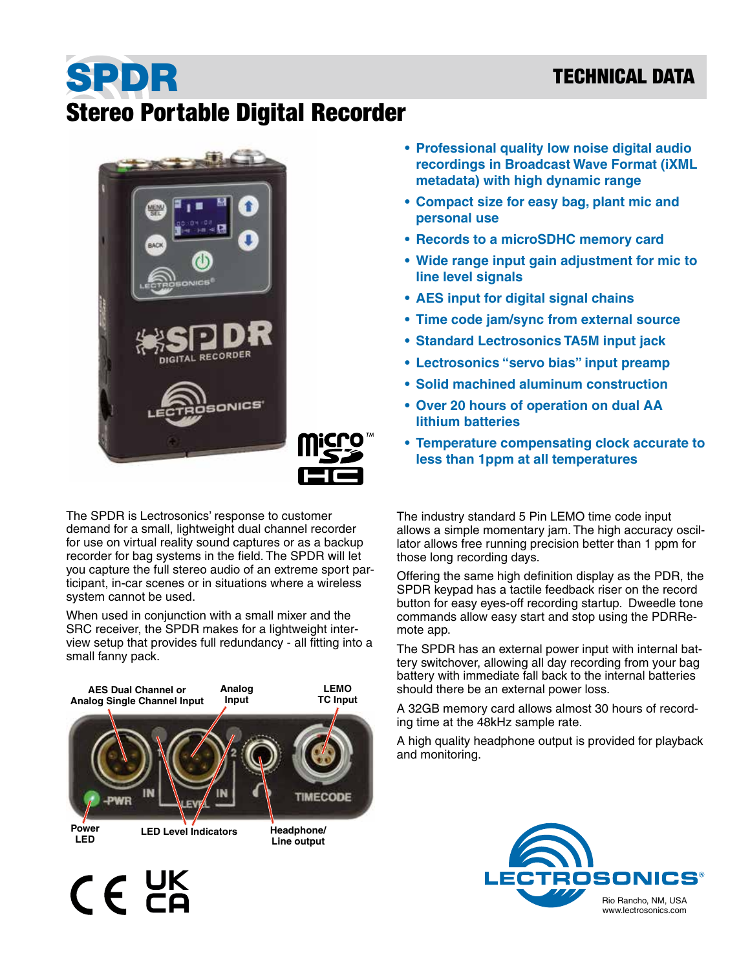## TECHNICAL DATA

## SPDR Stereo Portable Digital Recorder





The SPDR is Lectrosonics' response to customer demand for a small, lightweight dual channel recorder for use on virtual reality sound captures or as a backup recorder for bag systems in the field. The SPDR will let you capture the full stereo audio of an extreme sport participant, in-car scenes or in situations where a wireless system cannot be used.

When used in conjunction with a small mixer and the SRC receiver, the SPDR makes for a lightweight interview setup that provides full redundancy - all fitting into a small fanny pack.



 $C \n\in \mathbb{Z}^K$ 

- **• Professional quality low noise digital audio recordings in Broadcast Wave Format (iXML metadata) with high dynamic range**
- **• Compact size for easy bag, plant mic and personal use**
- **• Records to a microSDHC memory card**
- **• Wide range input gain adjustment for mic to line level signals**
- **• AES input for digital signal chains**
- **• Time code jam/sync from external source**
- **• Standard Lectrosonics TA5M input jack**
- **• Lectrosonics "servo bias" input preamp**
- **• Solid machined aluminum construction**
- **• Over 20 hours of operation on dual AA lithium batteries**
- **• Temperature compensating clock accurate to less than 1ppm at all temperatures**

The industry standard 5 Pin LEMO time code input allows a simple momentary jam. The high accuracy oscillator allows free running precision better than 1 ppm for those long recording days.

Offering the same high definition display as the PDR, the SPDR keypad has a tactile feedback riser on the record button for easy eyes-off recording startup. Dweedle tone commands allow easy start and stop using the PDRRemote app.

The SPDR has an external power input with internal battery switchover, allowing all day recording from your bag battery with immediate fall back to the internal batteries should there be an external power loss.

A 32GB memory card allows almost 30 hours of recording time at the 48kHz sample rate.

A high quality headphone output is provided for playback and monitoring.